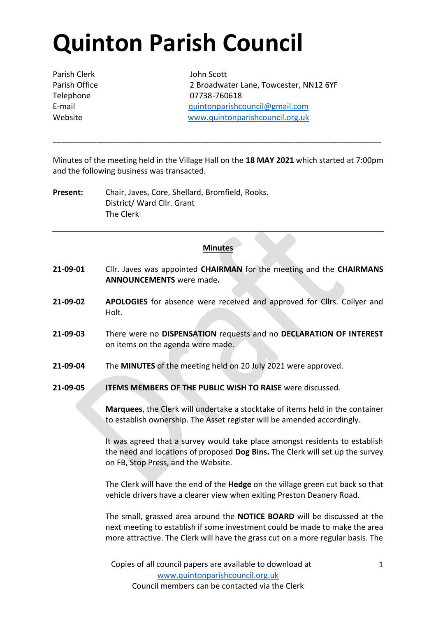## **Quinton Parish Council**

Parish Clerk John Scott

Parish Office 2 Broadwater Lane, Towcester, NN12 6YF Telephone 07738-760618 E-mail [quintonparishcouncil@gmail.com](mailto:quintonparishcouncil@gmail.com) Website [www.quintonparishcouncil.org.uk](http://www.quintonparishcouncil.org.uk/)

Minutes of the meeting held in the Village Hall on the **18 MAY 2021** which started at 7:00pm and the following business was transacted.

\_\_\_\_\_\_\_\_\_\_\_\_\_\_\_\_\_\_\_\_\_\_\_\_\_\_\_\_\_\_\_\_\_\_\_\_\_\_\_\_\_\_\_\_\_\_\_\_\_\_\_\_\_\_\_\_\_\_\_\_\_\_\_\_\_\_\_\_\_\_\_\_\_\_\_

**Present:** Chair, Javes, Core, Shellard, Bromfield, Rooks. District/ Ward Cllr. Grant The Clerk

## **Minutes**

- **21-09-01** Cllr. Javes was appointed **CHAIRMAN** for the meeting and the **CHAIRMANS ANNOUNCEMENTS** were made**.**
- **21-09-02 APOLOGIES** for absence were received and approved for Cllrs. Collyer and Holt.
- **21-09-03** There were no **DISPENSATION** requests and no **DECLARATION OF INTEREST**  on items on the agenda were made.
- **21-09-04** The **MINUTES** of the meeting held on 20 July 2021 were approved.
- **21-09-05 ITEMS MEMBERS OF THE PUBLIC WISH TO RAISE** were discussed.

**Marquees**, the Clerk will undertake a stocktake of items held in the container to establish ownership. The Asset register will be amended accordingly.

It was agreed that a survey would take place amongst residents to establish the need and locations of proposed **Dog Bins.** The Clerk will set up the survey on FB, Stop Press, and the Website.

The Clerk will have the end of the **Hedge** on the village green cut back so that vehicle drivers have a clearer view when exiting Preston Deanery Road.

The small, grassed area around the **NOTICE BOARD** will be discussed at the next meeting to establish if some investment could be made to make the area more attractive. The Clerk will have the grass cut on a more regular basis. The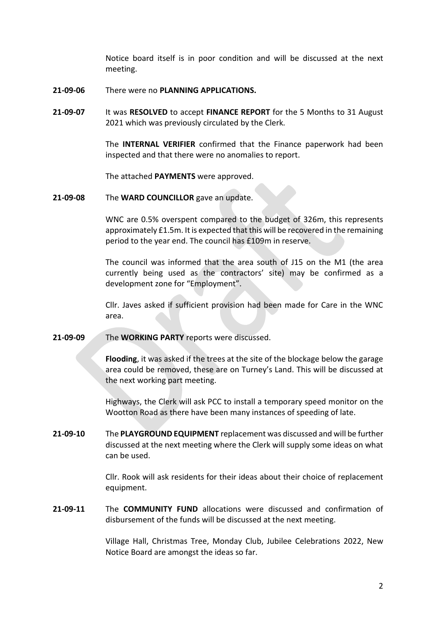Notice board itself is in poor condition and will be discussed at the next meeting.

- **21-09-06** There were no **PLANNING APPLICATIONS.**
- **21-09-07** It was **RESOLVED** to accept **FINANCE REPORT** for the 5 Months to 31 August 2021 which was previously circulated by the Clerk.

The **INTERNAL VERIFIER** confirmed that the Finance paperwork had been inspected and that there were no anomalies to report.

The attached **PAYMENTS** were approved.

**21-09-08** The **WARD COUNCILLOR** gave an update.

WNC are 0.5% overspent compared to the budget of 326m, this represents approximately £1.5m. It is expected that this will be recovered in the remaining period to the year end. The council has £109m in reserve.

The council was informed that the area south of J15 on the M1 (the area currently being used as the contractors' site) may be confirmed as a development zone for "Employment".

Cllr. Javes asked if sufficient provision had been made for Care in the WNC area.

**21-09-09** The **WORKING PARTY** reports were discussed.

**Flooding**, it was asked if the trees at the site of the blockage below the garage area could be removed, these are on Turney's Land. This will be discussed at the next working part meeting.

Highways, the Clerk will ask PCC to install a temporary speed monitor on the Wootton Road as there have been many instances of speeding of late.

**21-09-10** The **PLAYGROUND EQUIPMENT** replacement was discussed and will be further discussed at the next meeting where the Clerk will supply some ideas on what can be used.

> Cllr. Rook will ask residents for their ideas about their choice of replacement equipment.

**21-09-11** The **COMMUNITY FUND** allocations were discussed and confirmation of disbursement of the funds will be discussed at the next meeting.

> Village Hall, Christmas Tree, Monday Club, Jubilee Celebrations 2022, New Notice Board are amongst the ideas so far.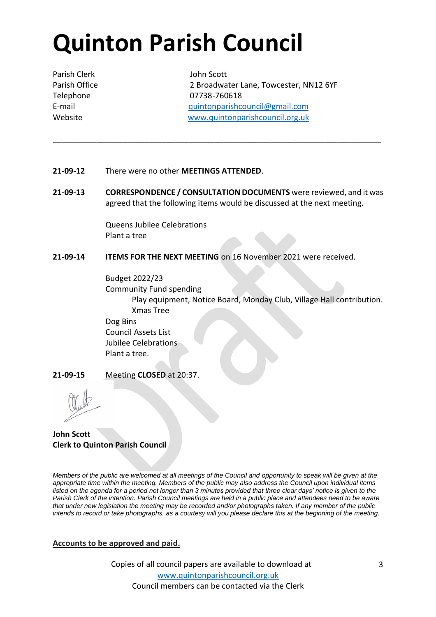## **Quinton Parish Council**

Parish Clerk John Scott

Parish Office 2 Broadwater Lane, Towcester, NN12 6YF Telephone 07738-760618 E-mail [quintonparishcouncil@gmail.com](mailto:quintonparishcouncil@gmail.com) Website [www.quintonparishcouncil.org.uk](http://www.quintonparishcouncil.org.uk/)

- **21-09-12** There were no other **MEETINGS ATTENDED**.
- **21-09-13 CORRESPONDENCE / CONSULTATION DOCUMENTS** were reviewed, and it was agreed that the following items would be discussed at the next meeting.

\_\_\_\_\_\_\_\_\_\_\_\_\_\_\_\_\_\_\_\_\_\_\_\_\_\_\_\_\_\_\_\_\_\_\_\_\_\_\_\_\_\_\_\_\_\_\_\_\_\_\_\_\_\_\_\_\_\_\_\_\_\_\_\_\_\_\_\_\_\_\_\_\_\_\_

Queens Jubilee Celebrations Plant a tree

**21-09-14 ITEMS FOR THE NEXT MEETING** on 16 November 2021 were received.

Budget 2022/23 Community Fund spending Play equipment, Notice Board, Monday Club, Village Hall contribution. Xmas Tree Dog Bins Council Assets List Jubilee Celebrations Plant a tree.

**21-09-15** Meeting **CLOSED** at 20:37.

**John Scott Clerk to Quinton Parish Council**

*Members of the public are welcomed at all meetings of the Council and opportunity to speak will be given at the appropriate time within the meeting. Members of the public may also address the Council upon individual items*  listed on the agenda for a period not longer than 3 minutes provided that three clear days' notice is given to the *Parish Clerk of the intention. Parish Council meetings are held in a public place and attendees need to be aware that under new legislation the meeting may be recorded and/or photographs taken. If any member of the public intends to record or take photographs, as a courtesy will you please declare this at the beginning of the meeting.*

## **Accounts to be approved and paid.**

Copies of all council papers are available to download at [www.quintonparishcouncil.org.uk](http://www.quintonparishcouncil.org.uk/) Council members can be contacted via the Clerk